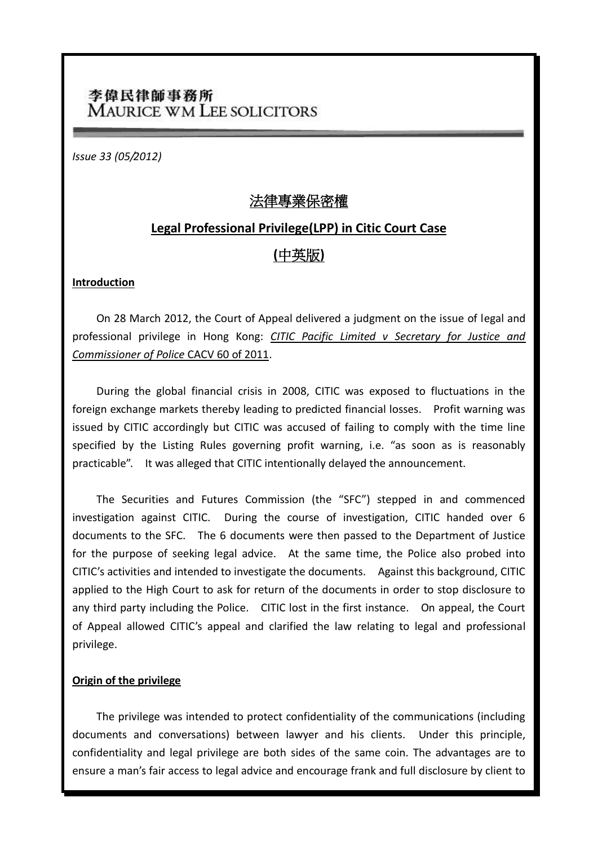# 李偉民律師事務所 **MAURICE WM LEE SOLICITORS**

*Issue 33 (05/2012)*

## 法律專業保密權

## **Legal Professional Privilege(LPP) in Citic Court Case**

# **(**中英版**)**

## **Introduction**

On 28 March 2012, the Court of Appeal delivered a judgment on the issue of legal and professional privilege in Hong Kong: *CITIC Pacific Limited v Secretary for Justice and Commissioner of Police* CACV 60 of 2011.

During the global financial crisis in 2008, CITIC was exposed to fluctuations in the foreign exchange markets thereby leading to predicted financial losses. Profit warning was issued by CITIC accordingly but CITIC was accused of failing to comply with the time line specified by the Listing Rules governing profit warning, i.e. "as soon as is reasonably practicable". It was alleged that CITIC intentionally delayed the announcement.

The Securities and Futures Commission (the "SFC") stepped in and commenced investigation against CITIC. During the course of investigation, CITIC handed over 6 documents to the SFC. The 6 documents were then passed to the Department of Justice for the purpose of seeking legal advice. At the same time, the Police also probed into CITIC's activities and intended to investigate the documents. Against this background, CITIC applied to the High Court to ask for return of the documents in order to stop disclosure to any third party including the Police. CITIC lost in the first instance. On appeal, the Court of Appeal allowed CITIC's appeal and clarified the law relating to legal and professional privilege.

## **Origin of the privilege**

The privilege was intended to protect confidentiality of the communications (including documents and conversations) between lawyer and his clients. Under this principle, confidentiality and legal privilege are both sides of the same coin. The advantages are to ensure a man's fair access to legal advice and encourage frank and full disclosure by client to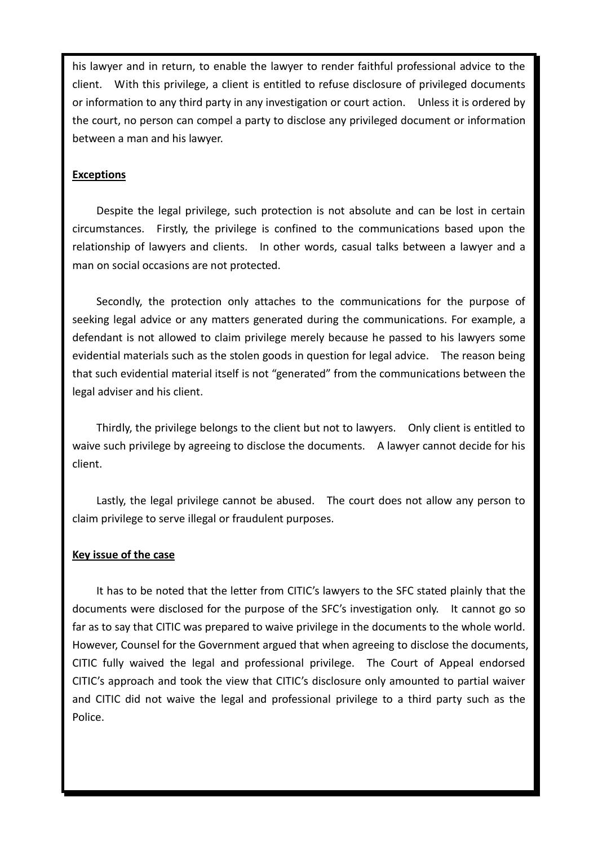his lawyer and in return, to enable the lawyer to render faithful professional advice to the client. With this privilege, a client is entitled to refuse disclosure of privileged documents or information to any third party in any investigation or court action. Unless it is ordered by the court, no person can compel a party to disclose any privileged document or information between a man and his lawyer.

### **Exceptions**

Despite the legal privilege, such protection is not absolute and can be lost in certain circumstances. Firstly, the privilege is confined to the communications based upon the relationship of lawyers and clients. In other words, casual talks between a lawyer and a man on social occasions are not protected.

Secondly, the protection only attaches to the communications for the purpose of seeking legal advice or any matters generated during the communications. For example, a defendant is not allowed to claim privilege merely because he passed to his lawyers some evidential materials such as the stolen goods in question for legal advice. The reason being that such evidential material itself is not "generated" from the communications between the legal adviser and his client.

Thirdly, the privilege belongs to the client but not to lawyers. Only client is entitled to waive such privilege by agreeing to disclose the documents. A lawyer cannot decide for his client.

Lastly, the legal privilege cannot be abused. The court does not allow any person to claim privilege to serve illegal or fraudulent purposes.

#### **Key issue of the case**

It has to be noted that the letter from CITIC's lawyers to the SFC stated plainly that the documents were disclosed for the purpose of the SFC's investigation only. It cannot go so far as to say that CITIC was prepared to waive privilege in the documents to the whole world. However, Counsel for the Government argued that when agreeing to disclose the documents, CITIC fully waived the legal and professional privilege. The Court of Appeal endorsed CITIC's approach and took the view that CITIC's disclosure only amounted to partial waiver and CITIC did not waive the legal and professional privilege to a third party such as the Police.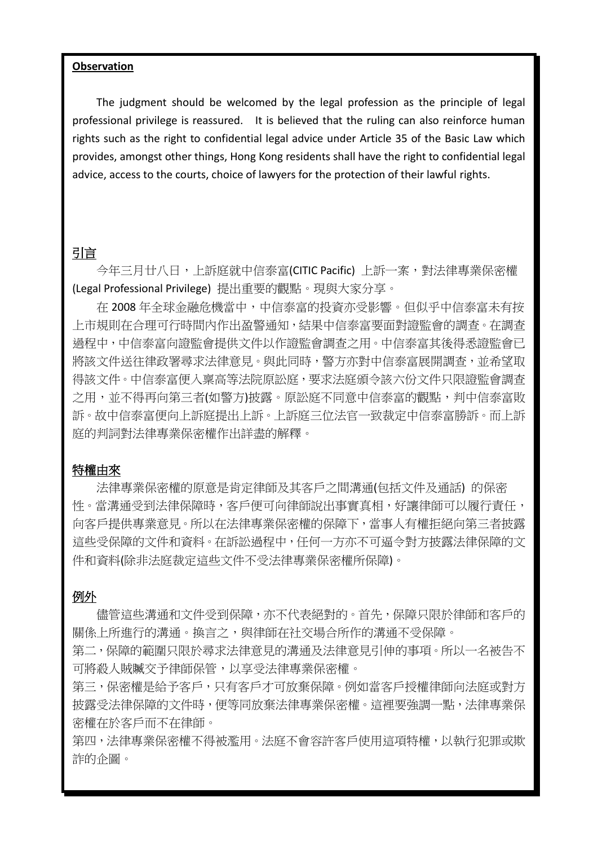#### **Observation**

The judgment should be welcomed by the legal profession as the principle of legal professional privilege is reassured. It is believed that the ruling can also reinforce human rights such as the right to confidential legal advice under Article 35 of the Basic Law which provides, amongst other things, Hong Kong residents shall have the right to confidential legal advice, access to the courts, choice of lawyers for the protection of their lawful rights.

## 引言

今年三月廿八日,上訴庭就中信泰富(CITIC Pacific) 上訴一案,對法律專業保密權 (Legal Professional Privilege) 提出重要的觀點。現與大家分享。

在 2008 年全球金融危機當中,中信泰富的投資亦受影響。但似乎中信泰富未有按 上市規則在合理可行時間內作出盈警通知,結果中信泰富要面對證監會的調查。在調查 過程中,中信泰富向證監會提供文件以作證監會調查之用。中信泰富其後得悉證監會已 將該文件送往律政署尋求法律意見。與此同時,警方亦對中信泰富展開調查,並希望取 得該文件。中信泰富便入稟高等法院原訟庭,要求法庭頒令該六份文件只限證監會調查 之用,並不得再向第三者(如警方)披露。原訟庭不同意中信泰富的觀點,判中信泰富敗 訴。故中信泰富便向上訴庭提出上訴。上訴庭三位法官一致裁定中信泰富勝訴。而上訴 庭的判詞對法律專業保密權作出詳盡的解釋。

### 特權由來

法律專業保密權的原意是肯定律師及其客戶之間溝通(包括文件及通話) 的保密 性。當溝通受到法律保障時,客戶便可向律師說出事實真相,好讓律師可以履行責任, 向客戶提供專業意見。所以在法律專業保密權的保障下,當事人有權拒絕向第三者披露 這些受保障的文件和資料。在訴訟過程中,任何一方亦不可逼令對方披露法律保障的文 件和資料(除非法庭裁定這些文件不受法律專業保密權所保障)。

#### 例外

儘管這些溝通和文件受到保障,亦不代表絕對的。首先,保障只限於律師和客戶的 關係上所進行的溝通。換言之,與律師在社交場合所作的溝通不受保障。

第二,保障的範圍只限於尋求法律意見的溝通及法律意見引伸的事項。所以一名被告不 可將殺人賊贓交予律師保管,以享受法律專業保密權。

第三,保密權是給予客戶,只有客戶才可放棄保障。例如當客戶授權律師向法庭或對方 披露受法律保障的文件時,便等同放棄法律專業保密權。這裡要強調一點,法律專業保 密權在於客戶而不在律師。

第四,法律專業保密權不得被濫用。法庭不會容許客戶使用這項特權,以執行犯罪或欺 詐的企圖。